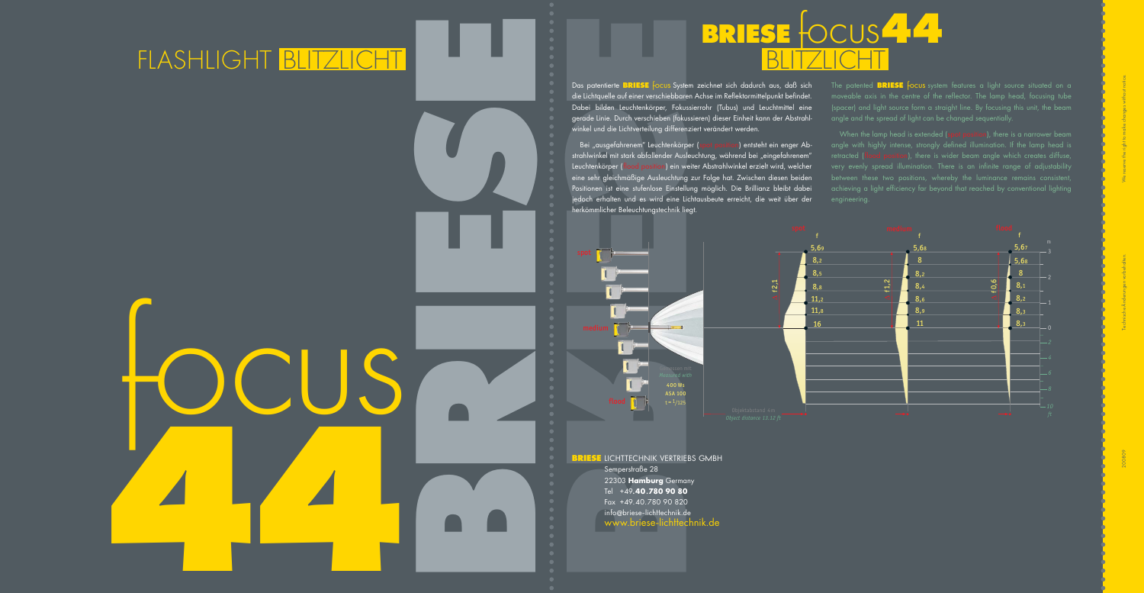+49**.40.780 90 80** Fax +49.40.780 90 820 info @briese-lichttechnik.de www.briese-lichttechnik.de



Das patentierte **BRIESE** focus System zeichnet sich dadurch aus, daß sich die Lichtquelle auf einer verschiebbaren Achse im Reflektormittelpunkt befindet. Dabei bilden Leuchtenkörper, Fokussierrohr (Tubus) und Leuchtmittel eine gerade Linie. Durch verschieben (fokussieren) dieser Einheit kann der Abstrahlwinkel und die Lichtverteilung differenziert verändert werden.

Bei "ausgefahrenem" Leuchtenkörper (spot position) entsteht ein enger Abstrahlwinkel mit stark abfallender Ausleuchtung, während bei "eingefahrenem" Leuchtenkörper (flood position) ein weiter Abstrahlwinkel erzielt wird, welcher eine sehr gleichmäßige Ausleuchtung zur Folge hat. Zwischen diesen beiden Positionen ist eine stufenlose Einstellung möglich. Die Brillianz bleibt dabei jedoch erhalten und es wird eine Lichtausbeute erreicht, die weit über der angle with highly intense, strongly defined illumination. If the lamp head is  $\overline{\phantom{a}}$ retracted (flood position), there is wider beam angle which creates diffuse, very evenly spread illumination. There is an infinite range of adjustability achieving a light efficiency far beyond that reached by conventional lighting engineering.

herkömmlicher Beleuchtungstechnik liegt.

The patented **BRIESE** focus system features a light source situated on a moveable axis in the centre of the reflector. The lamp head, focusing tube (spacer) and light source form a straight line. By focusing this unit, the beam angle and the spread of light can be changed sequentially.



## FLASH LIGHT BLITZLICHT BLITZLICHT